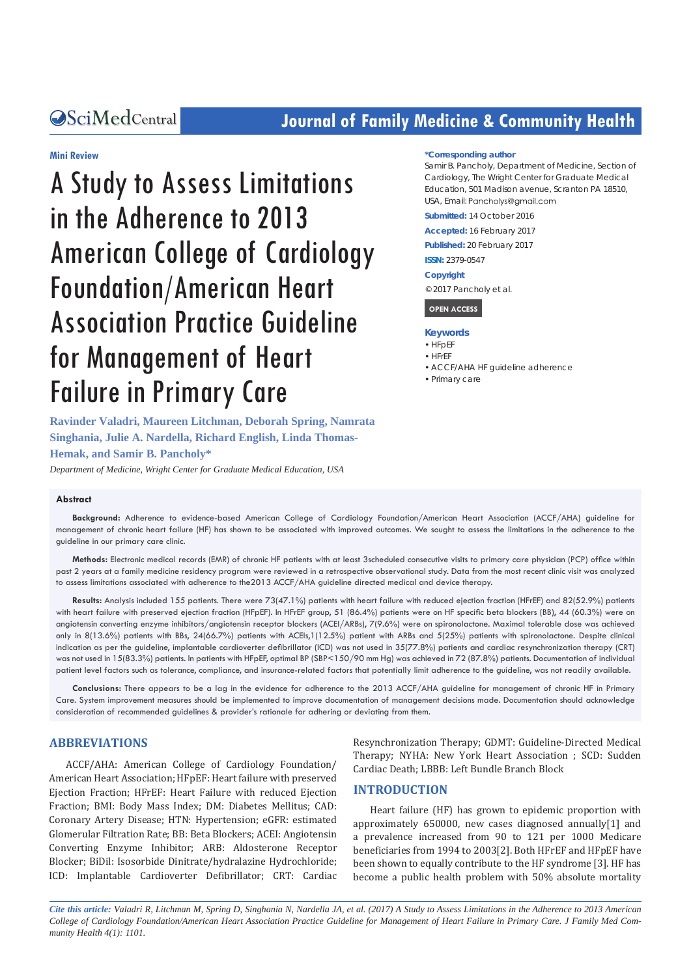# **CALCERT CONFIDENTIAL CONTROLLER COMMUNITY Health**

#### **Mini Review**

A Study to Assess Limitations in the Adherence to 2013 American College of Cardiology Foundation/American Heart Association Practice Guideline for Management of Heart Failure in Primary Care

**Ravinder Valadri, Maureen Litchman, Deborah Spring, Namrata Singhania, Julie A. Nardella, Richard English, Linda Thomas-Hemak, and Samir B. Pancholy\***

*Department of Medicine, Wright Center for Graduate Medical Education, USA*

#### **Abstract**

**Background:** Adherence to evidence-based American College of Cardiology Foundation/American Heart Association (ACCF/AHA) guideline for management of chronic heart failure (HF) has shown to be associated with improved outcomes. We sought to assess the limitations in the adherence to the guideline in our primary care clinic.

**Methods:** Electronic medical records (EMR) of chronic HF patients with at least 3scheduled consecutive visits to primary care physician (PCP) office within past 2 years at a family medicine residency program were reviewed in a retrospective observational study. Data from the most recent clinic visit was analyzed to assess limitations associated with adherence to the2013 ACCF/AHA guideline directed medical and device therapy.

**Results:** Analysis included 155 patients. There were 73(47.1%) patients with heart failure with reduced ejection fraction (HFrEF) and 82(52.9%) patients with heart failure with preserved ejection fraction (HFpEF). In HFrEF group, 51 (86.4%) patients were on HF specific beta blockers (BB), 44 (60.3%) were on angiotensin converting enzyme inhibitors/angiotensin receptor blockers (ACEI/ARBs), 7(9.6%) were on spironolactone. Maximal tolerable dose was achieved only in 8(13.6%) patients with BBs, 24(66.7%) patients with ACEIs,1(12.5%) patient with ARBs and 5(25%) patients with spironolactone. Despite clinical indication as per the guideline, implantable cardioverter defibrillator (ICD) was not used in 35(77.8%) patients and cardiac resynchronization therapy (CRT) was not used in 15(83.3%) patients. In patients with HFpEF, optimal BP (SBP<150/90 mm Hg) was achieved in 72 (87.8%) patients. Documentation of individual patient level factors such as tolerance, compliance, and insurance-related factors that potentially limit adherence to the guideline, was not readily available.

**Conclusions:** There appears to be a lag in the evidence for adherence to the 2013 ACCF/AHA guideline for management of chronic HF in Primary Care. System improvement measures should be implemented to improve documentation of management decisions made. Documentation should acknowledge consideration of recommended guidelines & provider's rationale for adhering or deviating from them.

# **ABBREVIATIONS**

ACCF/AHA: American College of Cardiology Foundation/ American Heart Association; HFpEF: Heart failure with preserved Ejection Fraction; HFrEF: Heart Failure with reduced Ejection Fraction; BMI: Body Mass Index; DM: Diabetes Mellitus; CAD: Coronary Artery Disease; HTN: Hypertension; eGFR: estimated Glomerular Filtration Rate; BB: Beta Blockers; ACEI: Angiotensin Converting Enzyme Inhibitor; ARB: Aldosterone Receptor Blocker; BiDil: Isosorbide Dinitrate/hydralazine Hydrochloride; ICD: Implantable Cardioverter Defibrillator; CRT: Cardiac

Resynchronization Therapy; GDMT: Guideline-Directed Medical Therapy; NYHA: New York Heart Association ; SCD: Sudden Cardiac Death; LBBB: Left Bundle Branch Block

#### **INTRODUCTION**

Heart failure (HF) has grown to epidemic proportion with approximately 650000, new cases diagnosed annually[1] and a prevalence increased from 90 to 121 per 1000 Medicare beneficiaries from 1994 to 2003[2]. Both HFrEF and HFpEF have been shown to equally contribute to the HF syndrome [3]. HF has become a public health problem with 50% absolute mortality

*Cite this article: Valadri R, Litchman M, Spring D, Singhania N, Nardella JA, et al. (2017) A Study to Assess Limitations in the Adherence to 2013 American College of Cardiology Foundation/American Heart Association Practice Guideline for Management of Heart Failure in Primary Care. J Family Med Community Health 4(1): 1101.*

#### **\*Corresponding author**

Samir B. Pancholy, Department of Medicine, Section of Cardiology, The Wright Center for Graduate Medical Education, 501 Madison avenue, Scranton PA 18510, USA, Email: Pancholys@gmail.com

**Submitted:** 14 October 2016

**Accepted:** 16 February 2017

**Published:** 20 February 2017

**ISSN:** 2379-0547

#### **Copyright**

© 2017 Pancholy et al.

#### **OPEN ACCESS**

#### **Keywords**

- • HFpEF
- • HFrEF
- ACCF/AHA HF guideline adherence
- • Primary care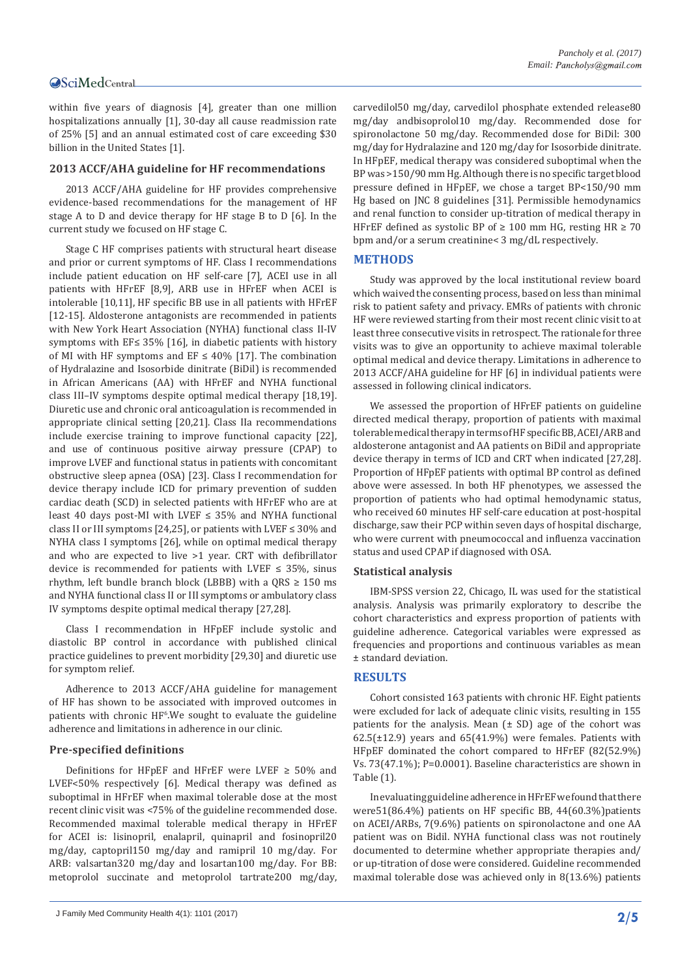# **OSciMedCentral**

within five years of diagnosis [4], greater than one million hospitalizations annually [1], 30-day all cause readmission rate of 25% [5] and an annual estimated cost of care exceeding \$30 billion in the United States [1].

#### **2013 ACCF/AHA guideline for HF recommendations**

2013 ACCF/AHA guideline for HF provides comprehensive evidence-based recommendations for the management of HF stage A to D and device therapy for HF stage B to D [6]. In the current study we focused on HF stage C.

Stage C HF comprises patients with structural heart disease and prior or current symptoms of HF. Class I recommendations include patient education on HF self-care [7], ACEI use in all patients with HFrEF [8,9], ARB use in HFrEF when ACEI is intolerable [10,11], HF specific BB use in all patients with HFrEF [12-15]. Aldosterone antagonists are recommended in patients with New York Heart Association (NYHA) functional class II-IV symptoms with EF≤ 35% [16], in diabetic patients with history of MI with HF symptoms and EF  $\leq$  40% [17]. The combination of Hydralazine and Isosorbide dinitrate (BiDil) is recommended in African Americans (AA) with HFrEF and NYHA functional class III–IV symptoms despite optimal medical therapy [18,19]. Diuretic use and chronic oral anticoagulation is recommended in appropriate clinical setting [20,21]. Class IIa recommendations include exercise training to improve functional capacity [22], and use of continuous positive airway pressure (CPAP) to improve LVEF and functional status in patients with concomitant obstructive sleep apnea (OSA) [23]. Class I recommendation for device therapy include ICD for primary prevention of sudden cardiac death (SCD) in selected patients with HFrEF who are at least 40 days post-MI with LVEF  $\leq$  35% and NYHA functional class II or III symptoms [24,25], or patients with LVEF ≤ 30% and NYHA class I symptoms [26], while on optimal medical therapy and who are expected to live >1 year. CRT with defibrillator device is recommended for patients with LVEF  $\leq$  35%, sinus rhythm, left bundle branch block (LBBB) with a  $ORS \ge 150$  ms and NYHA functional class II or III symptoms or ambulatory class IV symptoms despite optimal medical therapy [27,28].

Class I recommendation in HFpEF include systolic and diastolic BP control in accordance with published clinical practice guidelines to prevent morbidity [29,30] and diuretic use for symptom relief.

Adherence to 2013 ACCF/AHA guideline for management of HF has shown to be associated with improved outcomes in patients with chronic  $HF^6.We$  sought to evaluate the guideline adherence and limitations in adherence in our clinic.

#### **Pre-specified definitions**

Definitions for HFpEF and HFrEF were LVEF  $\geq$  50% and LVEF<50% respectively [6]. Medical therapy was defined as suboptimal in HFrEF when maximal tolerable dose at the most recent clinic visit was <75% of the guideline recommended dose. Recommended maximal tolerable medical therapy in HFrEF for ACEI is: lisinopril, enalapril, quinapril and fosinopril20 mg/day, captopril150 mg/day and ramipril 10 mg/day. For ARB: valsartan320 mg/day and losartan100 mg/day. For BB: metoprolol succinate and metoprolol tartrate200 mg/day,

J Family Med Community Health 4(1): 1101 (2017) **2/5**

carvedilol50 mg/day, carvedilol phosphate extended release80 mg/day andbisoprolol10 mg/day. Recommended dose for spironolactone 50 mg/day. Recommended dose for BiDil: 300 mg/day for Hydralazine and 120 mg/day for Isosorbide dinitrate. In HFpEF, medical therapy was considered suboptimal when the BP was >150/90 mm Hg. Although there is no specific target blood pressure defined in HFpEF, we chose a target BP<150/90 mm Hg based on JNC 8 guidelines [31]. Permissible hemodynamics and renal function to consider up-titration of medical therapy in HFrEF defined as systolic BP of  $\geq 100$  mm HG, resting HR  $\geq 70$ bpm and/or a serum creatinine< 3 mg/dL respectively.

## **METHODS**

Study was approved by the local institutional review board which waived the consenting process, based on less than minimal risk to patient safety and privacy. EMRs of patients with chronic HF were reviewed starting from their most recent clinic visit to at least three consecutive visits in retrospect. The rationale for three visits was to give an opportunity to achieve maximal tolerable optimal medical and device therapy. Limitations in adherence to 2013 ACCF/AHA guideline for HF [6] in individual patients were assessed in following clinical indicators.

We assessed the proportion of HFrEF patients on guideline directed medical therapy, proportion of patients with maximal tolerable medical therapy in terms of HF specific BB, ACEI/ARB and aldosterone antagonist and AA patients on BiDil and appropriate device therapy in terms of ICD and CRT when indicated [27,28]. Proportion of HFpEF patients with optimal BP control as defined above were assessed. In both HF phenotypes, we assessed the proportion of patients who had optimal hemodynamic status, who received 60 minutes HF self-care education at post-hospital discharge, saw their PCP within seven days of hospital discharge, who were current with pneumococcal and influenza vaccination status and used CPAP if diagnosed with OSA.

#### **Statistical analysis**

IBM-SPSS version 22, Chicago, IL was used for the statistical analysis. Analysis was primarily exploratory to describe the cohort characteristics and express proportion of patients with guideline adherence. Categorical variables were expressed as frequencies and proportions and continuous variables as mean ± standard deviation.

## **RESULTS**

Cohort consisted 163 patients with chronic HF. Eight patients were excluded for lack of adequate clinic visits, resulting in 155 patients for the analysis. Mean  $(\pm SD)$  age of the cohort was  $62.5(\pm 12.9)$  years and  $65(41.9%)$  were females. Patients with HFpEF dominated the cohort compared to HFrEF (82(52.9%) Vs. 73(47.1%); P=0.0001). Baseline characteristics are shown in Table (1).

In evaluating guideline adherence in HFrEF we found that there were51(86.4%) patients on HF specific BB, 44(60.3%)patients on ACEI/ARBs, 7(9.6%) patients on spironolactone and one AA patient was on Bidil. NYHA functional class was not routinely documented to determine whether appropriate therapies and/ or up-titration of dose were considered. Guideline recommended maximal tolerable dose was achieved only in 8(13.6%) patients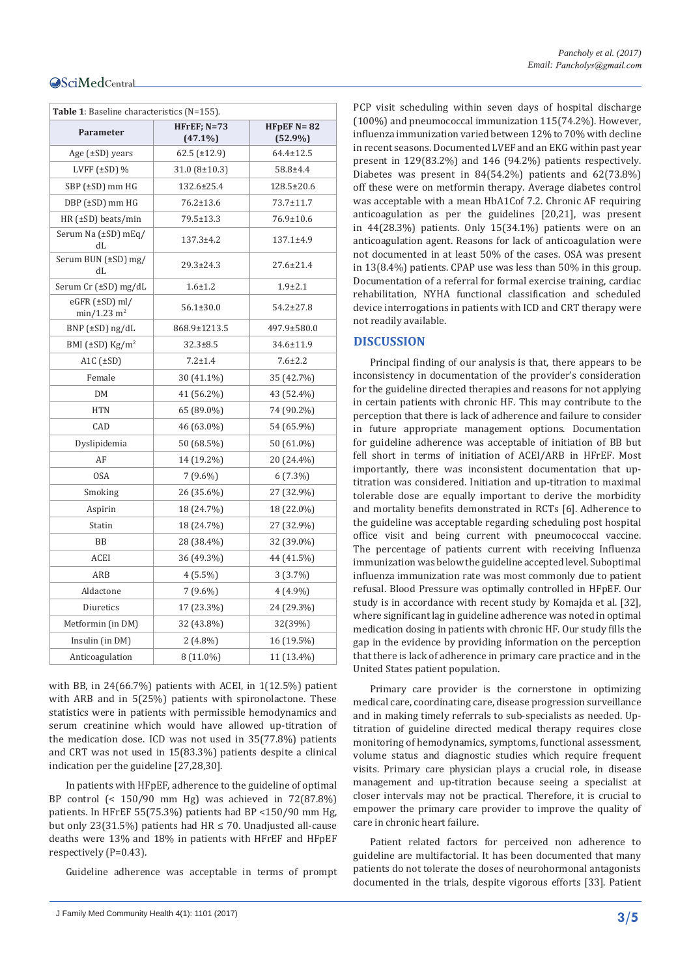| Table 1: Baseline characteristics (N=155). |                                |                              |
|--------------------------------------------|--------------------------------|------------------------------|
| Parameter                                  | $H$ FrEF; $N=73$<br>$(47.1\%)$ | HFpEF $N = 82$<br>$(52.9\%)$ |
| Age $(\pm SD)$ years                       | $62.5 \ (\pm 12.9)$            | $64.4 \pm 12.5$              |
| LVFF $(\pm SD)$ %                          | $31.0 (8 \pm 10.3)$            | 58.8±4.4                     |
| SBP (±SD) mm HG                            | 132.6±25.4                     | 128.5±20.6                   |
| DBP (±SD) mm HG                            | $76.2 \pm 13.6$                | 73.7±11.7                    |
| HR $(±SD)$ beats/min                       | 79.5±13.3                      | 76.9±10.6                    |
| Serum Na (±SD) mEq/<br>dL                  | $137.3 \pm 4.2$                | $137.1 \pm 4.9$              |
| Serum BUN (±SD) mg/<br>dL                  | $29.3 \pm 24.3$                | $27.6 \pm 21.4$              |
| Serum Cr (±SD) mg/dL                       | $1.6 + 1.2$                    | $1.9 + 2.1$                  |
| eGFR (±SD) ml/<br>min/1.23 m <sup>2</sup>  | $56.1 \pm 30.0$                | $54.2 \pm 27.8$              |
| $BNP$ ( $\pm SD$ ) ng/dL                   | 868.9±1213.5                   | 497.9±580.0                  |
| BMI $(\pm SD)$ Kg/m <sup>2</sup>           | $32.3 \pm 8.5$                 | 34.6±11.9                    |
| A <sub>1</sub> C $(\pm SD)$                | $7.2 \pm 1.4$                  | $7.6 \pm 2.2$                |
| Female                                     | 30 (41.1%)                     | 35 (42.7%)                   |
| DM                                         | 41 (56.2%)                     | 43 (52.4%)                   |
| <b>HTN</b>                                 | 65 (89.0%)                     | 74 (90.2%)                   |
| CAD                                        | 46 (63.0%)                     | 54 (65.9%)                   |
| Dyslipidemia                               | 50 (68.5%)                     | 50 (61.0%)                   |
| AF                                         | 14 (19.2%)                     | 20 (24.4%)                   |
| <b>OSA</b>                                 | $7(9.6\%)$                     | $6(7.3\%)$                   |
| Smoking                                    | 26 (35.6%)                     | 27 (32.9%)                   |
| Aspirin                                    | 18 (24.7%)                     | 18 (22.0%)                   |
| Statin                                     | 18 (24.7%)                     | 27 (32.9%)                   |
| BB                                         | 28 (38.4%)                     | 32 (39.0%)                   |
| ACEI                                       | 36 (49.3%)                     | 44 (41.5%)                   |
| ARB                                        | $4(5.5\%)$                     | 3(3.7%)                      |
| Aldactone                                  | $7(9.6\%)$                     | $4(4.9\%)$                   |
| Diuretics                                  | 17 (23.3%)                     | 24 (29.3%)                   |
| Metformin (in DM)                          | 32 (43.8%)                     | 32(39%)                      |
| Insulin (in DM)                            | $2(4.8\%)$                     | 16 (19.5%)                   |
| Anticoagulation                            | 8 (11.0%)                      | 11 (13.4%)                   |

with BB, in 24(66.7%) patients with ACEI, in 1(12.5%) patient with ARB and in 5(25%) patients with spironolactone. These statistics were in patients with permissible hemodynamics and serum creatinine which would have allowed up-titration of the medication dose. ICD was not used in 35(77.8%) patients and CRT was not used in 15(83.3%) patients despite a clinical indication per the guideline [27,28,30].

In patients with HFpEF, adherence to the guideline of optimal BP control (< 150/90 mm Hg) was achieved in 72(87.8%) patients. In HFrEF 55(75.3%) patients had BP <150/90 mm Hg, but only 23(31.5%) patients had HR  $\leq$  70. Unadjusted all-cause deaths were 13% and 18% in patients with HFrEF and HFpEF respectively (P=0.43).

Guideline adherence was acceptable in terms of prompt

PCP visit scheduling within seven days of hospital discharge (100%) and pneumococcal immunization 115(74.2%). However, influenza immunization varied between 12% to 70% with decline in recent seasons. Documented LVEF and an EKG within past year present in 129(83.2%) and 146 (94.2%) patients respectively. Diabetes was present in 84(54.2%) patients and 62(73.8%) off these were on metformin therapy. Average diabetes control was acceptable with a mean HbA1Cof 7.2. Chronic AF requiring anticoagulation as per the guidelines [20,21], was present in  $44(28.3%)$  patients. Only  $15(34.1%)$  patients were on an anticoagulation agent. Reasons for lack of anticoagulation were not documented in at least 50% of the cases. OSA was present in 13(8.4%) patients. CPAP use was less than 50% in this group. Documentation of a referral for formal exercise training, cardiac rehabilitation, NYHA functional classification and scheduled device interrogations in patients with ICD and CRT therapy were not readily available.

# **DISCUSSION**

Principal finding of our analysis is that, there appears to be inconsistency in documentation of the provider's consideration for the guideline directed therapies and reasons for not applying in certain patients with chronic HF. This may contribute to the perception that there is lack of adherence and failure to consider in future appropriate management options. Documentation for guideline adherence was acceptable of initiation of BB but fell short in terms of initiation of ACEI/ARB in HFrEF. Most importantly, there was inconsistent documentation that uptitration was considered. Initiation and up-titration to maximal tolerable dose are equally important to derive the morbidity and mortality benefits demonstrated in RCTs [6]. Adherence to the guideline was acceptable regarding scheduling post hospital office visit and being current with pneumococcal vaccine. The percentage of patients current with receiving Influenza immunization was below the guideline accepted level. Suboptimal influenza immunization rate was most commonly due to patient refusal. Blood Pressure was optimally controlled in HFpEF. Our study is in accordance with recent study by Komajda et al. [32], where significant lag in guideline adherence was noted in optimal medication dosing in patients with chronic HF. Our study fills the gap in the evidence by providing information on the perception that there is lack of adherence in primary care practice and in the United States patient population.

Primary care provider is the cornerstone in optimizing medical care, coordinating care, disease progression surveillance and in making timely referrals to sub-specialists as needed. Uptitration of guideline directed medical therapy requires close monitoring of hemodynamics, symptoms, functional assessment, volume status and diagnostic studies which require frequent visits. Primary care physician plays a crucial role, in disease management and up-titration because seeing a specialist at closer intervals may not be practical. Therefore, it is crucial to empower the primary care provider to improve the quality of care in chronic heart failure.

Patient related factors for perceived non adherence to guideline are multifactorial. It has been documented that many patients do not tolerate the doses of neurohormonal antagonists documented in the trials, despite vigorous efforts [33]. Patient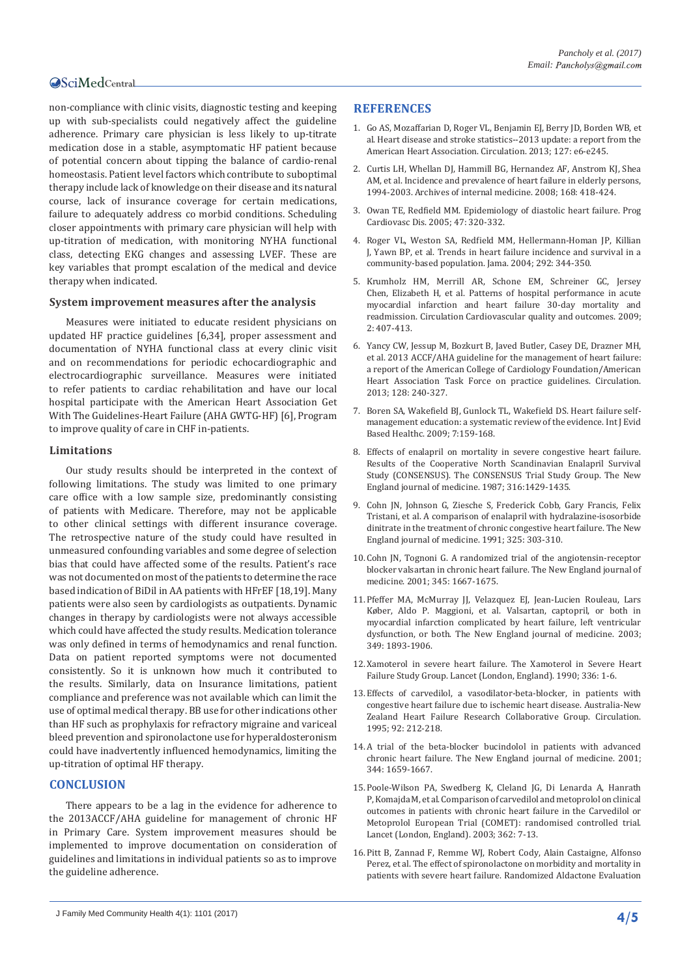# **OSciMedCentral**

non-compliance with clinic visits, diagnostic testing and keeping up with sub-specialists could negatively affect the guideline adherence. Primary care physician is less likely to up-titrate medication dose in a stable, asymptomatic HF patient because of potential concern about tipping the balance of cardio-renal homeostasis. Patient level factors which contribute to suboptimal therapy include lack of knowledge on their disease and its natural course, lack of insurance coverage for certain medications, failure to adequately address co morbid conditions. Scheduling closer appointments with primary care physician will help with up-titration of medication, with monitoring NYHA functional class, detecting EKG changes and assessing LVEF. These are key variables that prompt escalation of the medical and device therapy when indicated.

#### **System improvement measures after the analysis**

Measures were initiated to educate resident physicians on updated HF practice guidelines [6,34], proper assessment and documentation of NYHA functional class at every clinic visit and on recommendations for periodic echocardiographic and electrocardiographic surveillance. Measures were initiated to refer patients to cardiac rehabilitation and have our local hospital participate with the American Heart Association Get With The Guidelines-Heart Failure (AHA GWTG-HF) [6], Program to improve quality of care in CHF in-patients.

#### **Limitations**

Our study results should be interpreted in the context of following limitations. The study was limited to one primary care office with a low sample size, predominantly consisting of patients with Medicare. Therefore, may not be applicable to other clinical settings with different insurance coverage. The retrospective nature of the study could have resulted in unmeasured confounding variables and some degree of selection bias that could have affected some of the results. Patient's race was not documented on most of the patients to determine the race based indication of BiDil in AA patients with HFrEF [18,19]. Many patients were also seen by cardiologists as outpatients. Dynamic changes in therapy by cardiologists were not always accessible which could have affected the study results. Medication tolerance was only defined in terms of hemodynamics and renal function. Data on patient reported symptoms were not documented consistently. So it is unknown how much it contributed to the results. Similarly, data on Insurance limitations, patient compliance and preference was not available which can limit the use of optimal medical therapy. BB use for other indications other than HF such as prophylaxis for refractory migraine and variceal bleed prevention and spironolactone use for hyperaldosteronism could have inadvertently influenced hemodynamics, limiting the up-titration of optimal HF therapy.

#### **CONCLUSION**

There appears to be a lag in the evidence for adherence to the 2013ACCF/AHA guideline for management of chronic HF in Primary Care. System improvement measures should be implemented to improve documentation on consideration of guidelines and limitations in individual patients so as to improve the guideline adherence.

## **REFERENCES**

- 1. [Go AS, Mozaffarian D, Roger VL, Benjamin EJ,](https://www.ncbi.nlm.nih.gov/pubmed/23239837) Berry JD, Borden WB, et [al. Heart disease and stroke statistics--2013 update: a report from the](https://www.ncbi.nlm.nih.gov/pubmed/23239837)  [American Heart Association. Circulation. 2013; 127: e6-e245.](https://www.ncbi.nlm.nih.gov/pubmed/23239837)
- 2. [Curtis LH, Whellan DJ, Hammill BG, Hernandez AF,](https://www.ncbi.nlm.nih.gov/pubmed/18299498) Anstrom KJ, Shea [AM, et al. Incidence and prevalence of heart failure in elderly persons,](https://www.ncbi.nlm.nih.gov/pubmed/18299498)  [1994-2003. Archives of internal medicine. 2008; 168: 418-424.](https://www.ncbi.nlm.nih.gov/pubmed/18299498)
- 3. [Owan TE, Redfield MM. Epidemiology of diastolic heart failure. Prog](https://www.ncbi.nlm.nih.gov/pubmed/16003647)  [Cardiovasc Dis. 2005; 47: 320-332.](https://www.ncbi.nlm.nih.gov/pubmed/16003647)
- 4. [Roger VL, Weston SA, Redfield MM, Hellermann-Homan JP,](https://www.ncbi.nlm.nih.gov/pubmed/15265849) Killian J, [Yawn BP, et al. Trends in heart failure incidence and survival in a](https://www.ncbi.nlm.nih.gov/pubmed/15265849)  [community-based population. Jama. 2004; 292: 344-350.](https://www.ncbi.nlm.nih.gov/pubmed/15265849)
- 5. [Krumholz HM, Merrill AR, Schone EM, Schreiner GC,](http://circoutcomes.ahajournals.org/content/early/2009/07/09/CIRCOUTCOMES.109.883256) Jersey Chen, [Elizabeth H, et al. Patterns of hospital performance in acute](http://circoutcomes.ahajournals.org/content/early/2009/07/09/CIRCOUTCOMES.109.883256)  [myocardial infarction and heart failure 30-day mortality and](http://circoutcomes.ahajournals.org/content/early/2009/07/09/CIRCOUTCOMES.109.883256)  [readmission. Circulation Cardiovascular quality and outcomes. 2009;](http://circoutcomes.ahajournals.org/content/early/2009/07/09/CIRCOUTCOMES.109.883256)  [2: 407-413.](http://circoutcomes.ahajournals.org/content/early/2009/07/09/CIRCOUTCOMES.109.883256)
- 6. [Yancy CW, Jessup M, Bozkurt B, Javed Butler, Casey DE, Drazner MH,](http://circ.ahajournals.org/content/128/16/e240)  [et al. 2013 ACCF/AHA guideline for the management of heart failure:](http://circ.ahajournals.org/content/128/16/e240)  [a report of the American College of Cardiology Foundation/American](http://circ.ahajournals.org/content/128/16/e240)  [Heart Association Task Force on practice guidelines. Circulation.](http://circ.ahajournals.org/content/128/16/e240)  [2013; 128: 240-327.](http://circ.ahajournals.org/content/128/16/e240)
- 7. [Boren SA, Wakefield BJ, Gunlock TL, Wakefield DS. Heart failure self](https://www.ncbi.nlm.nih.gov/pubmed/21631856)[management education: a systematic review of the evidence. Int J Evid](https://www.ncbi.nlm.nih.gov/pubmed/21631856)  [Based Healthc. 2009; 7:159-168.](https://www.ncbi.nlm.nih.gov/pubmed/21631856)
- 8. [Effects of enalapril on mortality in severe congestive heart failure.](http://www.nejm.org/doi/full/10.1056/NEJM198706043162301#t=article)  [Results of the Cooperative North Scandinavian Enalapril Survival](http://www.nejm.org/doi/full/10.1056/NEJM198706043162301#t=article)  [Study \(CONSENSUS\). The CONSENSUS Trial Study Group. The New](http://www.nejm.org/doi/full/10.1056/NEJM198706043162301#t=article)  [England journal of medicine. 1987; 316:1429-1435.](http://www.nejm.org/doi/full/10.1056/NEJM198706043162301#t=article)
- 9. [Cohn JN, Johnson G, Ziesche S, Frederick Cobb, Gary Francis, Felix](http://www.nejm.org/doi/full/10.1056/NEJM199108013250502#t=article)  [Tristani, et al. A comparison of enalapril with hydralazine-isosorbide](http://www.nejm.org/doi/full/10.1056/NEJM199108013250502#t=article)  [dinitrate in the treatment of chronic congestive heart failure. The New](http://www.nejm.org/doi/full/10.1056/NEJM199108013250502#t=article)  [England journal of medicine. 1991; 325: 303-310.](http://www.nejm.org/doi/full/10.1056/NEJM199108013250502#t=article)
- 10.[Cohn JN, Tognoni G. A randomized trial of the angiotensin-receptor](http://www.nejm.org/doi/full/10.1056/NEJMoa010713#t=article)  [blocker valsartan in chronic heart failure. The New England journal of](http://www.nejm.org/doi/full/10.1056/NEJMoa010713#t=article)  [medicine. 2001; 345: 1667-1675.](http://www.nejm.org/doi/full/10.1056/NEJMoa010713#t=article)
- 11.[Pfeffer MA, McMurray JJ, Velazquez EJ, Jean-Lucien Rouleau, Lars](http://www.nejm.org/doi/full/10.1056/NEJMoa032292#t=article)  Kø[ber, Aldo P. Maggioni, et al. Valsartan, captopril, or both in](http://www.nejm.org/doi/full/10.1056/NEJMoa032292#t=article)  [myocardial infarction complicated by heart failure, left ventricular](http://www.nejm.org/doi/full/10.1056/NEJMoa032292#t=article)  [dysfunction, or both. The New England journal of medicine. 2003;](http://www.nejm.org/doi/full/10.1056/NEJMoa032292#t=article)  [349: 1893-1906.](http://www.nejm.org/doi/full/10.1056/NEJMoa032292#t=article)
- 12.[Xamoterol in severe heart failure. The Xamoterol in Severe Heart](https://www.ncbi.nlm.nih.gov/pubmed/1694945)  [Failure Study Group. Lancet \(London, England\). 1990; 336: 1-6.](https://www.ncbi.nlm.nih.gov/pubmed/1694945)
- 13.[Effects of carvedilol, a vasodilator-beta-blocker, in patients with](https://www.ncbi.nlm.nih.gov/pubmed/7600653)  [congestive heart failure due to ischemic heart disease. Australia-New](https://www.ncbi.nlm.nih.gov/pubmed/7600653)  [Zealand Heart Failure Research Collaborative Group. Circulation.](https://www.ncbi.nlm.nih.gov/pubmed/7600653)  [1995; 92: 212-218.](https://www.ncbi.nlm.nih.gov/pubmed/7600653)
- 14.[A trial of the beta-blocker bucindolol in patients with advanced](http://www.nejm.org/doi/full/10.1056/NEJM200105313442202#t=article)  [chronic heart failure. The New England journal of medicine. 2001;](http://www.nejm.org/doi/full/10.1056/NEJM200105313442202#t=article)  [344: 1659-1667.](http://www.nejm.org/doi/full/10.1056/NEJM200105313442202#t=article)
- 15.[Poole-Wilson PA, Swedberg K, Cleland JG, Di Lenarda A,](https://www.ncbi.nlm.nih.gov/pubmed/12853193) Hanrath [P,Komajda M, et al. Comparison of carvedilol and metoprolol on clinical](https://www.ncbi.nlm.nih.gov/pubmed/12853193)  [outcomes in patients with chronic heart failure in the Carvedilol or](https://www.ncbi.nlm.nih.gov/pubmed/12853193)  [Metoprolol European Trial \(COMET\): randomised controlled trial.](https://www.ncbi.nlm.nih.gov/pubmed/12853193)  [Lancet \(London, England\). 2003; 362: 7-13.](https://www.ncbi.nlm.nih.gov/pubmed/12853193)
- 16.[Pitt B, Zannad F, Remme WJ, Robert Cody, Alain Castaigne, Alfonso](http://www.nejm.org/doi/full/10.1056/NEJM199909023411001#t=article)  [Perez, et al. The effect of spironolactone on morbidity and mortality in](http://www.nejm.org/doi/full/10.1056/NEJM199909023411001#t=article)  [patients with severe heart failure. Randomized Aldactone Evaluation](http://www.nejm.org/doi/full/10.1056/NEJM199909023411001#t=article)

J Family Med Community Health 4(1): 1101 (2017) **4/5**